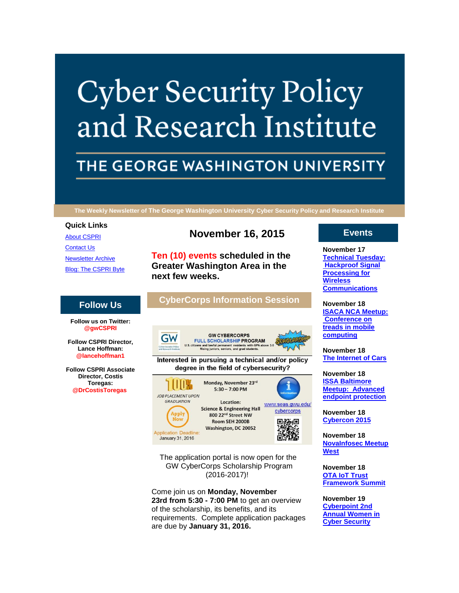# **Cyber Security Policy** and Research Institute

# THE GEORGE WASHINGTON UNIVERSITY

**The Weekly Newsletter of The George Washington University Cyber Security Policy and Research Institute**

#### **Quick Links**

[About CSPRI](http://r20.rs6.net/tn.jsp?f=001XxgK0qgIn3r6pQMoNxNq4ZPsaPV5OFvp2_fLHI3oH8P1r401N-R-MyjfTAfpApSkkvzYZv7oEBS7VgIbazZaqC9cDMl1HxZZZG47kqbKSl7pZfN2SFe5DelACmj4LAK5ZbvVZaFnEjWvGH7UbGau-9x8kWyWJfGFIW2Gi2Mqcw08rz-DHOf4CJXe5CC50nwO&c=4vK-oovvYgVKYgAV0-zvNRozD4qitsZKUqbur6sS_fGbPGUniJQirQ==&ch=9ojG_G0aG0042vgDiyGlyDivR0ytvjGoV0Uzcv_4zm9fa-Cj9nLqzw==) [Contact Us](http://r20.rs6.net/tn.jsp?f=001XxgK0qgIn3r6pQMoNxNq4ZPsaPV5OFvp2_fLHI3oH8P1r401N-R-MyjfTAfpApSkHlJF0PEyQqob9LMmzOi3MoB1gAwFKEo0QhN4mi-0dG2exp9vUaDSWAkyb8tZv79MjiH-59MJ3cXXMP3KboMM1a5Bp1VKhUkydR4tRscdHlfdJDsMCos2DbIZs5c30M3VPvbkT7U07K8=&c=4vK-oovvYgVKYgAV0-zvNRozD4qitsZKUqbur6sS_fGbPGUniJQirQ==&ch=9ojG_G0aG0042vgDiyGlyDivR0ytvjGoV0Uzcv_4zm9fa-Cj9nLqzw==) [Newsletter Archive](http://r20.rs6.net/tn.jsp?f=001XxgK0qgIn3r6pQMoNxNq4ZPsaPV5OFvp2_fLHI3oH8P1r401N-R-MyjfTAfpApSkK2APRXg3dE6qiLRCM69ZuR0-uVtgIRj0-WmmFjFzzwyNQVnXSGT8sGawHH23XFgpMzBrTeougIZkBOFSODdE0lwoILwiN22eBLs3VfwuQ83S9BX84RZR_gHvc02fiqTH1bVPKpeXkQs=&c=4vK-oovvYgVKYgAV0-zvNRozD4qitsZKUqbur6sS_fGbPGUniJQirQ==&ch=9ojG_G0aG0042vgDiyGlyDivR0ytvjGoV0Uzcv_4zm9fa-Cj9nLqzw==) [Blog: The CSPRI Byte](http://r20.rs6.net/tn.jsp?f=001XxgK0qgIn3r6pQMoNxNq4ZPsaPV5OFvp2_fLHI3oH8P1r401N-R-MyjfTAfpApSk7ctZT3kRu8MKNggyviWd-01-ct2OUDeRVxoociGsvJq_stp4TyUrPuaVryfjUp2dozdDusE8RSo7Gdh4sQN1Ot4H0bz0F-OmAtiyBkPOyKbmqXbzzseq4kvz-ITePWJU&c=4vK-oovvYgVKYgAV0-zvNRozD4qitsZKUqbur6sS_fGbPGUniJQirQ==&ch=9ojG_G0aG0042vgDiyGlyDivR0ytvjGoV0Uzcv_4zm9fa-Cj9nLqzw==)

# **November 16, 2015**

**Ten (10) events scheduled in the Greater Washington Area in the next few weeks.**

# **CyberCorps Information Session**



Interested in pursuing a technical and/or policy degree in the field of cybersecurity?







The application portal is now open for the GW CyberCorps Scholarship Program (2016-2017)!

Come join us on **Monday, November 23rd from 5:30 - 7:00 PM** to get an overview of the scholarship, its benefits, and its requirements. Complete application packages are due by **January 31, 2016.**

# **Events**

**November 17 Technical [Tuesday:](http://r20.rs6.net/tn.jsp?f=001XxgK0qgIn3r6pQMoNxNq4ZPsaPV5OFvp2_fLHI3oH8P1r401N-R-MyPy2M3IlZrc6L5Zsg-zrN3Zn1jAdmH_FvwFV2e4WJRsmpxtteN8bh6qQDYwlrsMKIYyrQxfiTGYwlFn1VUEcJ1XnfpNqs3HnoECryt_hlpjhJAgY7nI0D4hDqY6HV9CaqqvC1JP6C4lwhJ7DUj8psQ=&c=4vK-oovvYgVKYgAV0-zvNRozD4qitsZKUqbur6sS_fGbPGUniJQirQ==&ch=9ojG_G0aG0042vgDiyGlyDivR0ytvjGoV0Uzcv_4zm9fa-Cj9nLqzw==)  [Hackproof Signal](http://r20.rs6.net/tn.jsp?f=001XxgK0qgIn3r6pQMoNxNq4ZPsaPV5OFvp2_fLHI3oH8P1r401N-R-MyPy2M3IlZrc6L5Zsg-zrN3Zn1jAdmH_FvwFV2e4WJRsmpxtteN8bh6qQDYwlrsMKIYyrQxfiTGYwlFn1VUEcJ1XnfpNqs3HnoECryt_hlpjhJAgY7nI0D4hDqY6HV9CaqqvC1JP6C4lwhJ7DUj8psQ=&c=4vK-oovvYgVKYgAV0-zvNRozD4qitsZKUqbur6sS_fGbPGUniJQirQ==&ch=9ojG_G0aG0042vgDiyGlyDivR0ytvjGoV0Uzcv_4zm9fa-Cj9nLqzw==)  [Processing for](http://r20.rs6.net/tn.jsp?f=001XxgK0qgIn3r6pQMoNxNq4ZPsaPV5OFvp2_fLHI3oH8P1r401N-R-MyPy2M3IlZrc6L5Zsg-zrN3Zn1jAdmH_FvwFV2e4WJRsmpxtteN8bh6qQDYwlrsMKIYyrQxfiTGYwlFn1VUEcJ1XnfpNqs3HnoECryt_hlpjhJAgY7nI0D4hDqY6HV9CaqqvC1JP6C4lwhJ7DUj8psQ=&c=4vK-oovvYgVKYgAV0-zvNRozD4qitsZKUqbur6sS_fGbPGUniJQirQ==&ch=9ojG_G0aG0042vgDiyGlyDivR0ytvjGoV0Uzcv_4zm9fa-Cj9nLqzw==)  [Wireless](http://r20.rs6.net/tn.jsp?f=001XxgK0qgIn3r6pQMoNxNq4ZPsaPV5OFvp2_fLHI3oH8P1r401N-R-MyPy2M3IlZrc6L5Zsg-zrN3Zn1jAdmH_FvwFV2e4WJRsmpxtteN8bh6qQDYwlrsMKIYyrQxfiTGYwlFn1VUEcJ1XnfpNqs3HnoECryt_hlpjhJAgY7nI0D4hDqY6HV9CaqqvC1JP6C4lwhJ7DUj8psQ=&c=4vK-oovvYgVKYgAV0-zvNRozD4qitsZKUqbur6sS_fGbPGUniJQirQ==&ch=9ojG_G0aG0042vgDiyGlyDivR0ytvjGoV0Uzcv_4zm9fa-Cj9nLqzw==)  [Communications](http://r20.rs6.net/tn.jsp?f=001XxgK0qgIn3r6pQMoNxNq4ZPsaPV5OFvp2_fLHI3oH8P1r401N-R-MyPy2M3IlZrc6L5Zsg-zrN3Zn1jAdmH_FvwFV2e4WJRsmpxtteN8bh6qQDYwlrsMKIYyrQxfiTGYwlFn1VUEcJ1XnfpNqs3HnoECryt_hlpjhJAgY7nI0D4hDqY6HV9CaqqvC1JP6C4lwhJ7DUj8psQ=&c=4vK-oovvYgVKYgAV0-zvNRozD4qitsZKUqbur6sS_fGbPGUniJQirQ==&ch=9ojG_G0aG0042vgDiyGlyDivR0ytvjGoV0Uzcv_4zm9fa-Cj9nLqzw==)**

**November 18 [ISACA NCA Meetup:](http://r20.rs6.net/tn.jsp?f=001XxgK0qgIn3r6pQMoNxNq4ZPsaPV5OFvp2_fLHI3oH8P1r401N-R-MyPy2M3IlZrc6L5Zsg-zrN3Zn1jAdmH_FvwFV2e4WJRsmpxtteN8bh6qQDYwlrsMKIYyrQxfiTGYwlFn1VUEcJ1XnfpNqs3HnoECryt_hlpjhJAgY7nI0D4hDqY6HV9CaqqvC1JP6C4lwhJ7DUj8psQ=&c=4vK-oovvYgVKYgAV0-zvNRozD4qitsZKUqbur6sS_fGbPGUniJQirQ==&ch=9ojG_G0aG0042vgDiyGlyDivR0ytvjGoV0Uzcv_4zm9fa-Cj9nLqzw==)  [Conference on](http://r20.rs6.net/tn.jsp?f=001XxgK0qgIn3r6pQMoNxNq4ZPsaPV5OFvp2_fLHI3oH8P1r401N-R-MyPy2M3IlZrc6L5Zsg-zrN3Zn1jAdmH_FvwFV2e4WJRsmpxtteN8bh6qQDYwlrsMKIYyrQxfiTGYwlFn1VUEcJ1XnfpNqs3HnoECryt_hlpjhJAgY7nI0D4hDqY6HV9CaqqvC1JP6C4lwhJ7DUj8psQ=&c=4vK-oovvYgVKYgAV0-zvNRozD4qitsZKUqbur6sS_fGbPGUniJQirQ==&ch=9ojG_G0aG0042vgDiyGlyDivR0ytvjGoV0Uzcv_4zm9fa-Cj9nLqzw==)  [treads in mobile](http://r20.rs6.net/tn.jsp?f=001XxgK0qgIn3r6pQMoNxNq4ZPsaPV5OFvp2_fLHI3oH8P1r401N-R-MyPy2M3IlZrc6L5Zsg-zrN3Zn1jAdmH_FvwFV2e4WJRsmpxtteN8bh6qQDYwlrsMKIYyrQxfiTGYwlFn1VUEcJ1XnfpNqs3HnoECryt_hlpjhJAgY7nI0D4hDqY6HV9CaqqvC1JP6C4lwhJ7DUj8psQ=&c=4vK-oovvYgVKYgAV0-zvNRozD4qitsZKUqbur6sS_fGbPGUniJQirQ==&ch=9ojG_G0aG0042vgDiyGlyDivR0ytvjGoV0Uzcv_4zm9fa-Cj9nLqzw==)  [computing](http://r20.rs6.net/tn.jsp?f=001XxgK0qgIn3r6pQMoNxNq4ZPsaPV5OFvp2_fLHI3oH8P1r401N-R-MyPy2M3IlZrc6L5Zsg-zrN3Zn1jAdmH_FvwFV2e4WJRsmpxtteN8bh6qQDYwlrsMKIYyrQxfiTGYwlFn1VUEcJ1XnfpNqs3HnoECryt_hlpjhJAgY7nI0D4hDqY6HV9CaqqvC1JP6C4lwhJ7DUj8psQ=&c=4vK-oovvYgVKYgAV0-zvNRozD4qitsZKUqbur6sS_fGbPGUniJQirQ==&ch=9ojG_G0aG0042vgDiyGlyDivR0ytvjGoV0Uzcv_4zm9fa-Cj9nLqzw==)**

**November 18 [The Internet of Cars](http://r20.rs6.net/tn.jsp?f=001XxgK0qgIn3r6pQMoNxNq4ZPsaPV5OFvp2_fLHI3oH8P1r401N-R-MyPy2M3IlZrc6L5Zsg-zrN3Zn1jAdmH_FvwFV2e4WJRsmpxtteN8bh6qQDYwlrsMKIYyrQxfiTGYwlFn1VUEcJ1XnfpNqs3HnoECryt_hlpjhJAgY7nI0D4hDqY6HV9CaqqvC1JP6C4lwhJ7DUj8psQ=&c=4vK-oovvYgVKYgAV0-zvNRozD4qitsZKUqbur6sS_fGbPGUniJQirQ==&ch=9ojG_G0aG0042vgDiyGlyDivR0ytvjGoV0Uzcv_4zm9fa-Cj9nLqzw==)**

**November 18 [ISSA Baltimore](http://r20.rs6.net/tn.jsp?f=001XxgK0qgIn3r6pQMoNxNq4ZPsaPV5OFvp2_fLHI3oH8P1r401N-R-MyPy2M3IlZrc6L5Zsg-zrN3Zn1jAdmH_FvwFV2e4WJRsmpxtteN8bh6qQDYwlrsMKIYyrQxfiTGYwlFn1VUEcJ1XnfpNqs3HnoECryt_hlpjhJAgY7nI0D4hDqY6HV9CaqqvC1JP6C4lwhJ7DUj8psQ=&c=4vK-oovvYgVKYgAV0-zvNRozD4qitsZKUqbur6sS_fGbPGUniJQirQ==&ch=9ojG_G0aG0042vgDiyGlyDivR0ytvjGoV0Uzcv_4zm9fa-Cj9nLqzw==)  [Meetup: Advanced](http://r20.rs6.net/tn.jsp?f=001XxgK0qgIn3r6pQMoNxNq4ZPsaPV5OFvp2_fLHI3oH8P1r401N-R-MyPy2M3IlZrc6L5Zsg-zrN3Zn1jAdmH_FvwFV2e4WJRsmpxtteN8bh6qQDYwlrsMKIYyrQxfiTGYwlFn1VUEcJ1XnfpNqs3HnoECryt_hlpjhJAgY7nI0D4hDqY6HV9CaqqvC1JP6C4lwhJ7DUj8psQ=&c=4vK-oovvYgVKYgAV0-zvNRozD4qitsZKUqbur6sS_fGbPGUniJQirQ==&ch=9ojG_G0aG0042vgDiyGlyDivR0ytvjGoV0Uzcv_4zm9fa-Cj9nLqzw==)  [endpoint protection](http://r20.rs6.net/tn.jsp?f=001XxgK0qgIn3r6pQMoNxNq4ZPsaPV5OFvp2_fLHI3oH8P1r401N-R-MyPy2M3IlZrc6L5Zsg-zrN3Zn1jAdmH_FvwFV2e4WJRsmpxtteN8bh6qQDYwlrsMKIYyrQxfiTGYwlFn1VUEcJ1XnfpNqs3HnoECryt_hlpjhJAgY7nI0D4hDqY6HV9CaqqvC1JP6C4lwhJ7DUj8psQ=&c=4vK-oovvYgVKYgAV0-zvNRozD4qitsZKUqbur6sS_fGbPGUniJQirQ==&ch=9ojG_G0aG0042vgDiyGlyDivR0ytvjGoV0Uzcv_4zm9fa-Cj9nLqzw==)**

**November 18 [Cybercon 2015](http://r20.rs6.net/tn.jsp?f=001XxgK0qgIn3r6pQMoNxNq4ZPsaPV5OFvp2_fLHI3oH8P1r401N-R-MyPy2M3IlZrc6L5Zsg-zrN3Zn1jAdmH_FvwFV2e4WJRsmpxtteN8bh6qQDYwlrsMKIYyrQxfiTGYwlFn1VUEcJ1XnfpNqs3HnoECryt_hlpjhJAgY7nI0D4hDqY6HV9CaqqvC1JP6C4lwhJ7DUj8psQ=&c=4vK-oovvYgVKYgAV0-zvNRozD4qitsZKUqbur6sS_fGbPGUniJQirQ==&ch=9ojG_G0aG0042vgDiyGlyDivR0ytvjGoV0Uzcv_4zm9fa-Cj9nLqzw==)**

**November 18 [NovaInfosec Meetup](http://r20.rs6.net/tn.jsp?f=001XxgK0qgIn3r6pQMoNxNq4ZPsaPV5OFvp2_fLHI3oH8P1r401N-R-MyPy2M3IlZrc6L5Zsg-zrN3Zn1jAdmH_FvwFV2e4WJRsmpxtteN8bh6qQDYwlrsMKIYyrQxfiTGYwlFn1VUEcJ1XnfpNqs3HnoECryt_hlpjhJAgY7nI0D4hDqY6HV9CaqqvC1JP6C4lwhJ7DUj8psQ=&c=4vK-oovvYgVKYgAV0-zvNRozD4qitsZKUqbur6sS_fGbPGUniJQirQ==&ch=9ojG_G0aG0042vgDiyGlyDivR0ytvjGoV0Uzcv_4zm9fa-Cj9nLqzw==)  [West](http://r20.rs6.net/tn.jsp?f=001XxgK0qgIn3r6pQMoNxNq4ZPsaPV5OFvp2_fLHI3oH8P1r401N-R-MyPy2M3IlZrc6L5Zsg-zrN3Zn1jAdmH_FvwFV2e4WJRsmpxtteN8bh6qQDYwlrsMKIYyrQxfiTGYwlFn1VUEcJ1XnfpNqs3HnoECryt_hlpjhJAgY7nI0D4hDqY6HV9CaqqvC1JP6C4lwhJ7DUj8psQ=&c=4vK-oovvYgVKYgAV0-zvNRozD4qitsZKUqbur6sS_fGbPGUniJQirQ==&ch=9ojG_G0aG0042vgDiyGlyDivR0ytvjGoV0Uzcv_4zm9fa-Cj9nLqzw==)**

**November 18 [OTA IoT Trust](http://r20.rs6.net/tn.jsp?f=001XxgK0qgIn3r6pQMoNxNq4ZPsaPV5OFvp2_fLHI3oH8P1r401N-R-MyPy2M3IlZrc6L5Zsg-zrN3Zn1jAdmH_FvwFV2e4WJRsmpxtteN8bh6qQDYwlrsMKIYyrQxfiTGYwlFn1VUEcJ1XnfpNqs3HnoECryt_hlpjhJAgY7nI0D4hDqY6HV9CaqqvC1JP6C4lwhJ7DUj8psQ=&c=4vK-oovvYgVKYgAV0-zvNRozD4qitsZKUqbur6sS_fGbPGUniJQirQ==&ch=9ojG_G0aG0042vgDiyGlyDivR0ytvjGoV0Uzcv_4zm9fa-Cj9nLqzw==)  [Framework Summit](http://r20.rs6.net/tn.jsp?f=001XxgK0qgIn3r6pQMoNxNq4ZPsaPV5OFvp2_fLHI3oH8P1r401N-R-MyPy2M3IlZrc6L5Zsg-zrN3Zn1jAdmH_FvwFV2e4WJRsmpxtteN8bh6qQDYwlrsMKIYyrQxfiTGYwlFn1VUEcJ1XnfpNqs3HnoECryt_hlpjhJAgY7nI0D4hDqY6HV9CaqqvC1JP6C4lwhJ7DUj8psQ=&c=4vK-oovvYgVKYgAV0-zvNRozD4qitsZKUqbur6sS_fGbPGUniJQirQ==&ch=9ojG_G0aG0042vgDiyGlyDivR0ytvjGoV0Uzcv_4zm9fa-Cj9nLqzw==)**

**November 19 [Cyberpoint 2nd](http://r20.rs6.net/tn.jsp?f=001XxgK0qgIn3r6pQMoNxNq4ZPsaPV5OFvp2_fLHI3oH8P1r401N-R-MyPy2M3IlZrc6L5Zsg-zrN3Zn1jAdmH_FvwFV2e4WJRsmpxtteN8bh6qQDYwlrsMKIYyrQxfiTGYwlFn1VUEcJ1XnfpNqs3HnoECryt_hlpjhJAgY7nI0D4hDqY6HV9CaqqvC1JP6C4lwhJ7DUj8psQ=&c=4vK-oovvYgVKYgAV0-zvNRozD4qitsZKUqbur6sS_fGbPGUniJQirQ==&ch=9ojG_G0aG0042vgDiyGlyDivR0ytvjGoV0Uzcv_4zm9fa-Cj9nLqzw==)  [Annual Women in](http://r20.rs6.net/tn.jsp?f=001XxgK0qgIn3r6pQMoNxNq4ZPsaPV5OFvp2_fLHI3oH8P1r401N-R-MyPy2M3IlZrc6L5Zsg-zrN3Zn1jAdmH_FvwFV2e4WJRsmpxtteN8bh6qQDYwlrsMKIYyrQxfiTGYwlFn1VUEcJ1XnfpNqs3HnoECryt_hlpjhJAgY7nI0D4hDqY6HV9CaqqvC1JP6C4lwhJ7DUj8psQ=&c=4vK-oovvYgVKYgAV0-zvNRozD4qitsZKUqbur6sS_fGbPGUniJQirQ==&ch=9ojG_G0aG0042vgDiyGlyDivR0ytvjGoV0Uzcv_4zm9fa-Cj9nLqzw==)  [Cyber Security](http://r20.rs6.net/tn.jsp?f=001XxgK0qgIn3r6pQMoNxNq4ZPsaPV5OFvp2_fLHI3oH8P1r401N-R-MyPy2M3IlZrc6L5Zsg-zrN3Zn1jAdmH_FvwFV2e4WJRsmpxtteN8bh6qQDYwlrsMKIYyrQxfiTGYwlFn1VUEcJ1XnfpNqs3HnoECryt_hlpjhJAgY7nI0D4hDqY6HV9CaqqvC1JP6C4lwhJ7DUj8psQ=&c=4vK-oovvYgVKYgAV0-zvNRozD4qitsZKUqbur6sS_fGbPGUniJQirQ==&ch=9ojG_G0aG0042vgDiyGlyDivR0ytvjGoV0Uzcv_4zm9fa-Cj9nLqzw==)**

# **Follow Us**

**Follow us on Twitter: @gwCSPRI**

**Follow CSPRI Director, Lance Hoffman: @lancehoffman1**

**Follow CSPRI Associate Director, Costis Toregas: @DrCostisToregas**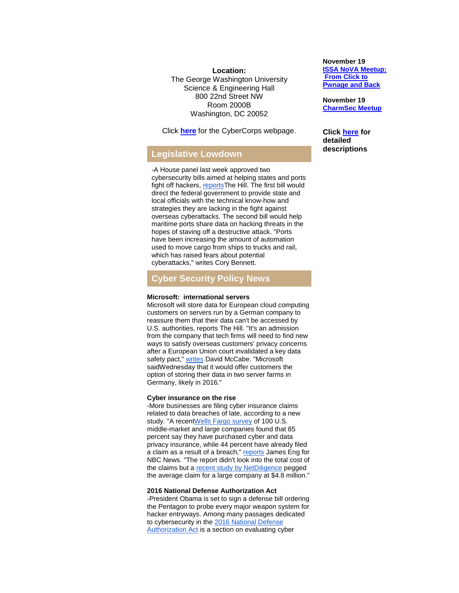**Location:** The George Washington University Science & Engineering Hall 800 22nd Street NW Room 2000B Washington, DC 20052

Click **[here](http://r20.rs6.net/tn.jsp?f=001XxgK0qgIn3r6pQMoNxNq4ZPsaPV5OFvp2_fLHI3oH8P1r401N-R-M8ZhKqXY-kHr_Bk38XxJGjodPaTp01_qXYPsU0Ra5gG_Sd6XXWB56JgtW27tu9YDdfyeuyZgS55bWRx4h2xhYfS6YLYWCPHv0AQEosL5i7d_Xc_D0AvKcpIpfSZNQ34e4e_90o6vFmAX&c=4vK-oovvYgVKYgAV0-zvNRozD4qitsZKUqbur6sS_fGbPGUniJQirQ==&ch=9ojG_G0aG0042vgDiyGlyDivR0ytvjGoV0Uzcv_4zm9fa-Cj9nLqzw==)** for the CyberCorps webpage.

# **Legislative Lowdown**

-A House panel last week approved two cybersecurity bills aimed at helping states and ports fight off hackers, reports The Hill. The first bill would direct the federal government to provide state and local officials with the technical know-how and strategies they are lacking in the fight against overseas cyberattacks. The second bill would help maritime ports share data on hacking threats in the hopes of staving off a destructive attack. "Ports have been increasing the amount of automation used to move cargo from ships to trucks and rail, which has raised fears about potential cyberattacks," writes Cory Bennett.

# **Cyber Security Policy News**

### **Microsoft: international servers**

Microsoft will store data for European cloud computing customers on servers run by a German company to reassure them that their data can't be accessed by U.S. authorities, reports The Hill. "It's an admission from the company that tech firms will need to find new ways to satisfy overseas customers' privacy concerns after a European Union court invalidated a key data safety pact," [writes](http://r20.rs6.net/tn.jsp?f=001XxgK0qgIn3r6pQMoNxNq4ZPsaPV5OFvp2_fLHI3oH8P1r401N-R-M6tKmzzFEjv_EVP5Lt1kZoAxP15H09jCSMBcimjUqYaC-J9NdxXJXDfxQQrIPEKgX6pmtQJMHdBfouHPfwSUlr0jywxftNq9REHjQ9XOWVyN0XAuutfBZ6gxQKAqFvB-Mc-BAyBLKyohjrfMXiopWraVPI6FZingesW1vpelRKUqJQb3R4nNBV74x6pFLRCKicD6ABdmVKIJWZF6qMJskg8emViZBxRxQdCW7xoKZRTd&c=4vK-oovvYgVKYgAV0-zvNRozD4qitsZKUqbur6sS_fGbPGUniJQirQ==&ch=9ojG_G0aG0042vgDiyGlyDivR0ytvjGoV0Uzcv_4zm9fa-Cj9nLqzw==) David McCabe. "Microsoft saidWednesday that it would offer customers the option of storing their data in two server farms in Germany, likely in 2016."

#### **Cyber insurance on the rise**

-More businesses are filing cyber insurance claims related to data breaches of late, according to a new study. "A recen[tWells Fargo survey](http://r20.rs6.net/tn.jsp?f=001XxgK0qgIn3r6pQMoNxNq4ZPsaPV5OFvp2_fLHI3oH8P1r401N-R-M6tKmzzFEjv_bF_oaroPVCr4Wgo1WyeMhOu86wiIqnYF3wkk9cxhAT93mMBMIR4XENjROKmzMvJCrHcLzHpJp_qFBdXcw7EUfFkihO-vRozz3JqFZ317z4mKHP5SjFmNyVWK3e0d9hraOT9iDZsJqmenGJSBty3cpjHOn_V47-Dh6Ctyx7Bg68YbLAeOB8RX7oFmYcxf1cqgRSiHnWhtkqwZnvZNz_yozyFbRKqgQqXMbigyjr2e2EHB-f8_GGKhhqM8qb2N6mqsFpup-MpqN5n93SnDgZUnOQ==&c=4vK-oovvYgVKYgAV0-zvNRozD4qitsZKUqbur6sS_fGbPGUniJQirQ==&ch=9ojG_G0aG0042vgDiyGlyDivR0ytvjGoV0Uzcv_4zm9fa-Cj9nLqzw==) of 100 U.S. middle-market and large companies found that 85 percent say they have purchased cyber and data privacy insurance, while 44 percent have already filed a claim as a result of a breach," [reports](http://r20.rs6.net/tn.jsp?f=001XxgK0qgIn3r6pQMoNxNq4ZPsaPV5OFvp2_fLHI3oH8P1r401N-R-M6tKmzzFEjv_O4GAbk920IvRgsfApKuyD7fUliDixNO3LhyhIPFeBVHNSQ7ZDFgvU7WvXLHSMi9Y2DDxNIQZThThibKD9zE0quKy7sZvuQ-Mmp_8x3DeUQc9adIqeb5wgXyzDg2hpKgbEY8VTr5-GlTLk2wtuRjpqLNT0coM2rA9xCGUmFH0TVjeiUYEa6OPYVcf0STr4r4LrRVRltGej9Z7j0_1gATY2w==&c=4vK-oovvYgVKYgAV0-zvNRozD4qitsZKUqbur6sS_fGbPGUniJQirQ==&ch=9ojG_G0aG0042vgDiyGlyDivR0ytvjGoV0Uzcv_4zm9fa-Cj9nLqzw==) James Eng for NBC News. "The report didn't look into the total cost of the claims but a [recent study by NetDiligence](http://r20.rs6.net/tn.jsp?f=001XxgK0qgIn3r6pQMoNxNq4ZPsaPV5OFvp2_fLHI3oH8P1r401N-R-M6tKmzzFEjv_f-vUd0oyZdbKc6xnit6bVtR-vBa6lamge6BLRlXlboprLRcS8oaIlYc33JZ-x7lfZhQDKOglMvW8Vpr31WC5Cp6QMBDFGvZK5OT73ibguX7BfsN-nEso1RiK31CaI6CJ7CIRF5wTQsczdmXzefrri2Z6v4tSj4XnOzi8LvWWwLUbvUEeAnsn_MTdJ2KrUIMc&c=4vK-oovvYgVKYgAV0-zvNRozD4qitsZKUqbur6sS_fGbPGUniJQirQ==&ch=9ojG_G0aG0042vgDiyGlyDivR0ytvjGoV0Uzcv_4zm9fa-Cj9nLqzw==) pegged the average claim for a large company at \$4.8 million."

### **2016 National Defense Authorization Act**

-President Obama is set to sign a defense bill ordering the Pentagon to probe every major weapon system for hacker entryways. Among many passages dedicated to cybersecurity in the [2016 National Defense](http://r20.rs6.net/tn.jsp?f=001XxgK0qgIn3r6pQMoNxNq4ZPsaPV5OFvp2_fLHI3oH8P1r401N-R-M6tKmzzFEjv_3yxkSWMeT0Z_uaQF84xII3rx9vnIUseImuBLiBTErt5Xgv88Oac6rbNYW20ATSXArpYLEef6I1PZDIfMnPUPCDikF_-vyxgGTIcszomBWUKxVDuVUGDFdnEssApOOezo7f9ZF6JXZylKncSh2o-wSEsIerfswcJ3mohfB5hV9l__-zw7ZEz6X7gqtGgOBESoiAze6kX2cE8_FWmlPkphEUcomD3w1ynV&c=4vK-oovvYgVKYgAV0-zvNRozD4qitsZKUqbur6sS_fGbPGUniJQirQ==&ch=9ojG_G0aG0042vgDiyGlyDivR0ytvjGoV0Uzcv_4zm9fa-Cj9nLqzw==)  [Authorization Act](http://r20.rs6.net/tn.jsp?f=001XxgK0qgIn3r6pQMoNxNq4ZPsaPV5OFvp2_fLHI3oH8P1r401N-R-M6tKmzzFEjv_3yxkSWMeT0Z_uaQF84xII3rx9vnIUseImuBLiBTErt5Xgv88Oac6rbNYW20ATSXArpYLEef6I1PZDIfMnPUPCDikF_-vyxgGTIcszomBWUKxVDuVUGDFdnEssApOOezo7f9ZF6JXZylKncSh2o-wSEsIerfswcJ3mohfB5hV9l__-zw7ZEz6X7gqtGgOBESoiAze6kX2cE8_FWmlPkphEUcomD3w1ynV&c=4vK-oovvYgVKYgAV0-zvNRozD4qitsZKUqbur6sS_fGbPGUniJQirQ==&ch=9ojG_G0aG0042vgDiyGlyDivR0ytvjGoV0Uzcv_4zm9fa-Cj9nLqzw==) is a section on evaluating cyber

**November 19 [ISSA NoVA Meetup:](http://r20.rs6.net/tn.jsp?f=001XxgK0qgIn3r6pQMoNxNq4ZPsaPV5OFvp2_fLHI3oH8P1r401N-R-MyPy2M3IlZrc6L5Zsg-zrN3Zn1jAdmH_FvwFV2e4WJRsmpxtteN8bh6qQDYwlrsMKIYyrQxfiTGYwlFn1VUEcJ1XnfpNqs3HnoECryt_hlpjhJAgY7nI0D4hDqY6HV9CaqqvC1JP6C4lwhJ7DUj8psQ=&c=4vK-oovvYgVKYgAV0-zvNRozD4qitsZKUqbur6sS_fGbPGUniJQirQ==&ch=9ojG_G0aG0042vgDiyGlyDivR0ytvjGoV0Uzcv_4zm9fa-Cj9nLqzw==)  From [Click to](http://r20.rs6.net/tn.jsp?f=001XxgK0qgIn3r6pQMoNxNq4ZPsaPV5OFvp2_fLHI3oH8P1r401N-R-MyPy2M3IlZrc6L5Zsg-zrN3Zn1jAdmH_FvwFV2e4WJRsmpxtteN8bh6qQDYwlrsMKIYyrQxfiTGYwlFn1VUEcJ1XnfpNqs3HnoECryt_hlpjhJAgY7nI0D4hDqY6HV9CaqqvC1JP6C4lwhJ7DUj8psQ=&c=4vK-oovvYgVKYgAV0-zvNRozD4qitsZKUqbur6sS_fGbPGUniJQirQ==&ch=9ojG_G0aG0042vgDiyGlyDivR0ytvjGoV0Uzcv_4zm9fa-Cj9nLqzw==)  [Pwnage and Back](http://r20.rs6.net/tn.jsp?f=001XxgK0qgIn3r6pQMoNxNq4ZPsaPV5OFvp2_fLHI3oH8P1r401N-R-MyPy2M3IlZrc6L5Zsg-zrN3Zn1jAdmH_FvwFV2e4WJRsmpxtteN8bh6qQDYwlrsMKIYyrQxfiTGYwlFn1VUEcJ1XnfpNqs3HnoECryt_hlpjhJAgY7nI0D4hDqY6HV9CaqqvC1JP6C4lwhJ7DUj8psQ=&c=4vK-oovvYgVKYgAV0-zvNRozD4qitsZKUqbur6sS_fGbPGUniJQirQ==&ch=9ojG_G0aG0042vgDiyGlyDivR0ytvjGoV0Uzcv_4zm9fa-Cj9nLqzw==)**

**November 19 [CharmSec Meetup](http://r20.rs6.net/tn.jsp?f=001XxgK0qgIn3r6pQMoNxNq4ZPsaPV5OFvp2_fLHI3oH8P1r401N-R-MyPy2M3IlZrc6L5Zsg-zrN3Zn1jAdmH_FvwFV2e4WJRsmpxtteN8bh6qQDYwlrsMKIYyrQxfiTGYwlFn1VUEcJ1XnfpNqs3HnoECryt_hlpjhJAgY7nI0D4hDqY6HV9CaqqvC1JP6C4lwhJ7DUj8psQ=&c=4vK-oovvYgVKYgAV0-zvNRozD4qitsZKUqbur6sS_fGbPGUniJQirQ==&ch=9ojG_G0aG0042vgDiyGlyDivR0ytvjGoV0Uzcv_4zm9fa-Cj9nLqzw==)**

**Click [here](http://r20.rs6.net/tn.jsp?f=001XxgK0qgIn3r6pQMoNxNq4ZPsaPV5OFvp2_fLHI3oH8P1r401N-R-MyjfTAfpApSkjXx_u4VDI3HttFwTfhcKLvsmgRJ0H9wo7vjcyxvm6-jd4LKFeq778xSKCVS5gEb3aTcHkS26xT5enT3hk_NGeYjU_LKvrTJt4KlkREVPxY5IpTP2dDTtX7xWMepnCwhCl-mNSmNzCmK4rGqjs9B8lA==&c=4vK-oovvYgVKYgAV0-zvNRozD4qitsZKUqbur6sS_fGbPGUniJQirQ==&ch=9ojG_G0aG0042vgDiyGlyDivR0ytvjGoV0Uzcv_4zm9fa-Cj9nLqzw==) for detailed descriptions**